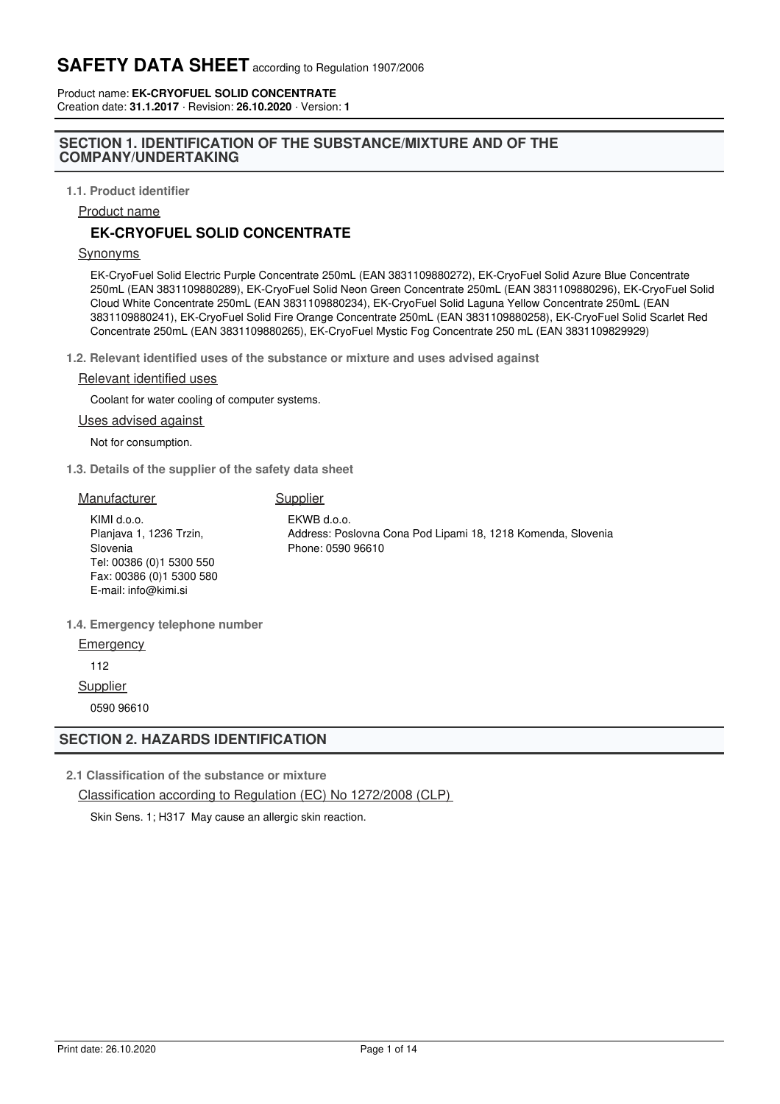Product name: **EK-CRYOFUEL SOLID CONCENTRATE** Creation date: **31.1.2017** · Revision: **26.10.2020** · Version: **1**

## **SECTION 1. IDENTIFICATION OF THE SUBSTANCE/MIXTURE AND OF THE COMPANY/UNDERTAKING**

**1.1. Product identifier**

Product name

# **EK-CRYOFUEL SOLID CONCENTRATE**

#### Synonyms

EK-CryoFuel Solid Electric Purple Concentrate 250mL (EAN 3831109880272), EK-CryoFuel Solid Azure Blue Concentrate 250mL (EAN 3831109880289), EK-CryoFuel Solid Neon Green Concentrate 250mL (EAN 3831109880296), EK-CryoFuel Solid Cloud White Concentrate 250mL (EAN 3831109880234), EK-CryoFuel Solid Laguna Yellow Concentrate 250mL (EAN 3831109880241), EK-CryoFuel Solid Fire Orange Concentrate 250mL (EAN 3831109880258), EK-CryoFuel Solid Scarlet Red Concentrate 250mL (EAN 3831109880265), EK-CryoFuel Mystic Fog Concentrate 250 mL (EAN 3831109829929)

**1.2. Relevant identified uses of the substance or mixture and uses advised against**

### Relevant identified uses

Coolant for water cooling of computer systems.

Uses advised against

Not for consumption.

**1.3. Details of the supplier of the safety data sheet**

| Manufacturer                                                                                                                        | Supplier                                                                                         |
|-------------------------------------------------------------------------------------------------------------------------------------|--------------------------------------------------------------------------------------------------|
| KIMI d.o.o.<br>Planjava 1, 1236 Trzin,<br>Slovenia<br>Tel: 00386 (0)1 5300 550<br>Fax: 00386 (0) 1 5300 580<br>E-mail: info@kimi.si | EKWB d.o.o.<br>Address: Poslovna Cona Pod Lipami 18, 1218 Komenda, Slovenia<br>Phone: 0590 96610 |
| 1.4. Emergency telephone number                                                                                                     |                                                                                                  |

**Emergency** 

112

**Supplier** 

0590 96610

## **SECTION 2. HAZARDS IDENTIFICATION**

**2.1 Classification of the substance or mixture**

Classification according to Regulation (EC) No 1272/2008 (CLP)

Skin Sens. 1; H317 May cause an allergic skin reaction.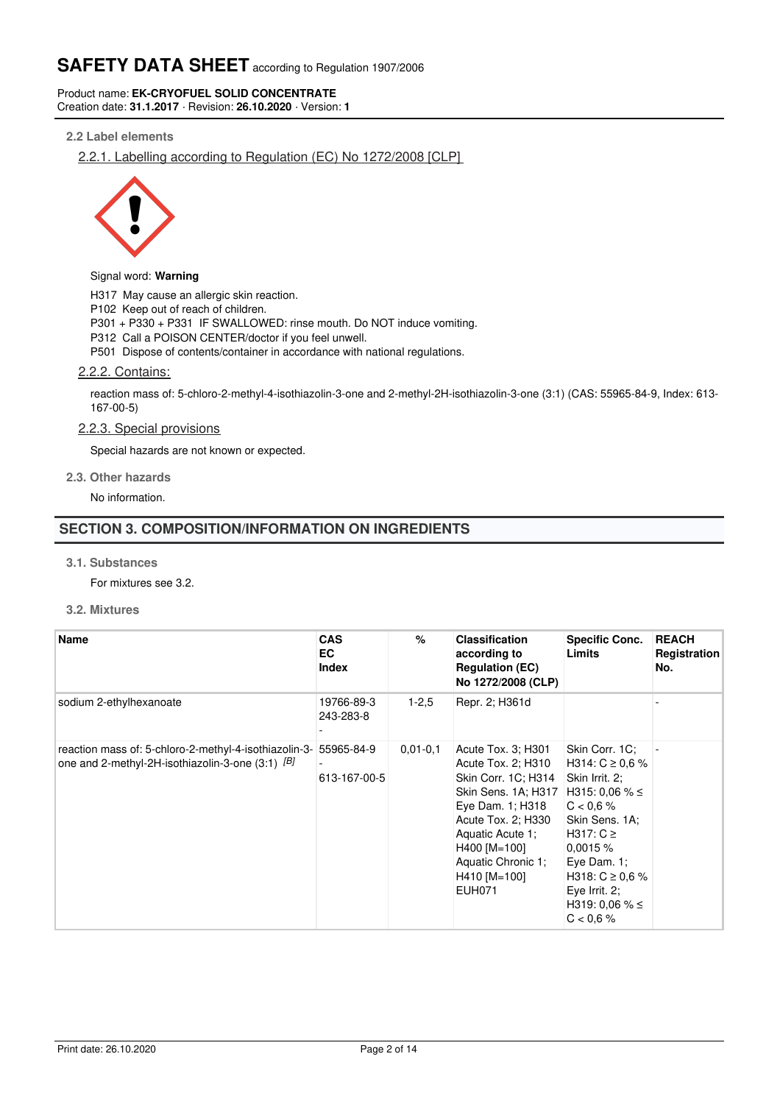Product name: **EK-CRYOFUEL SOLID CONCENTRATE** Creation date: **31.1.2017** · Revision: **26.10.2020** · Version: **1**

## **2.2 Label elements**

2.2.1. Labelling according to Regulation (EC) No 1272/2008 [CLP]



#### Signal word: **Warning**

H317 May cause an allergic skin reaction.

P102 Keep out of reach of children.

P301 + P330 + P331 IF SWALLOWED: rinse mouth. Do NOT induce vomiting.

P312 Call a POISON CENTER/doctor if you feel unwell.

P501 Dispose of contents/container in accordance with national regulations.

### 2.2.2. Contains:

reaction mass of: 5-chloro-2-methyl-4-isothiazolin-3-one and 2-methyl-2H-isothiazolin-3-one (3:1) (CAS: 55965-84-9, Index: 613- 167-00-5)

#### 2.2.3. Special provisions

Special hazards are not known or expected.

#### **2.3. Other hazards**

No information.

# **SECTION 3. COMPOSITION/INFORMATION ON INGREDIENTS**

#### **3.1. Substances**

For mixtures see 3.2.

## **3.2. Mixtures**

| <b>Name</b>                                                                                               | <b>CAS</b><br><b>EC</b><br><b>Index</b> | $\%$         | <b>Classification</b><br>according to<br><b>Regulation (EC)</b><br>No 1272/2008 (CLP)                                                                                                                                                      | <b>Specific Conc.</b><br><b>Limits</b>                                                                                                                                                                                    | <b>REACH</b><br>Registration<br>No. |
|-----------------------------------------------------------------------------------------------------------|-----------------------------------------|--------------|--------------------------------------------------------------------------------------------------------------------------------------------------------------------------------------------------------------------------------------------|---------------------------------------------------------------------------------------------------------------------------------------------------------------------------------------------------------------------------|-------------------------------------|
| sodium 2-ethylhexanoate                                                                                   | 19766-89-3<br>243-283-8                 | $1 - 2.5$    | Repr. 2; H361d                                                                                                                                                                                                                             |                                                                                                                                                                                                                           |                                     |
| reaction mass of: 5-chloro-2-methyl-4-isothiazolin-3-<br>one and 2-methyl-2H-isothiazolin-3-one (3:1) [B] | 55965-84-9<br>613-167-00-5              | $0.01 - 0.1$ | Acute Tox. 3; H301<br>Acute Tox. 2; H310<br>Skin Corr. 1C; H314<br>Skin Sens. 1A; H317 H315: 0.06 % ≤<br>Eye Dam. 1; H318<br>Acute Tox. 2; H330<br>Aquatic Acute 1;<br>H400 [M=100]<br>Aquatic Chronic 1;<br>H410 [M=100]<br><b>EUH071</b> | Skin Corr. 1C:<br>H314: $C \ge 0.6$ %<br>Skin Irrit. 2:<br>$C < 0.6 \%$<br>Skin Sens. 1A:<br>H317: $C \ge$<br>0.0015%<br>Eye Dam. $1$ ;<br>H318: $C \ge 0.6$ %<br>Eye Irrit. $2$ ;<br>H319: 0.06 % $\leq$<br>$C < 0.6 \%$ |                                     |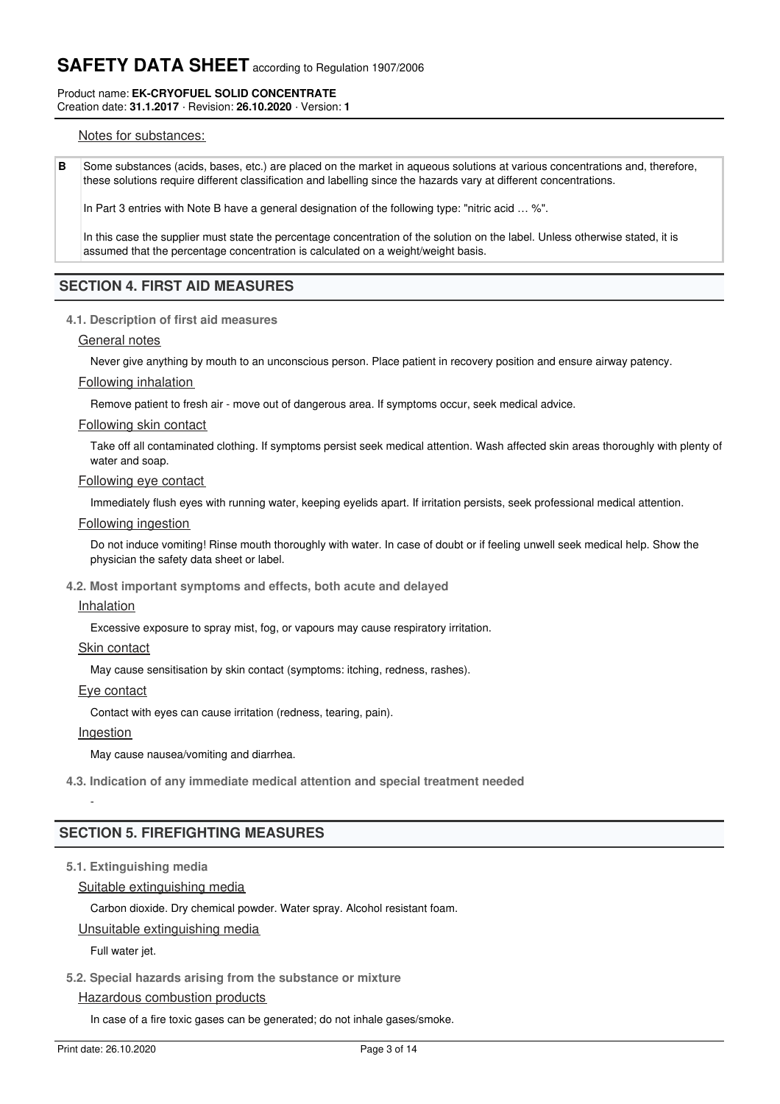#### Product name: **EK-CRYOFUEL SOLID CONCENTRATE** Creation date: **31.1.2017** · Revision: **26.10.2020** · Version: **1**

## Notes for substances:

**B** Some substances (acids, bases, etc.) are placed on the market in aqueous solutions at various concentrations and, therefore, these solutions require different classification and labelling since the hazards vary at different concentrations.

In Part 3 entries with Note B have a general designation of the following type: "nitric acid … %".

In this case the supplier must state the percentage concentration of the solution on the label. Unless otherwise stated, it is assumed that the percentage concentration is calculated on a weight/weight basis.

## **SECTION 4. FIRST AID MEASURES**

#### **4.1. Description of first aid measures**

#### General notes

Never give anything by mouth to an unconscious person. Place patient in recovery position and ensure airway patency.

#### Following inhalation

Remove patient to fresh air - move out of dangerous area. If symptoms occur, seek medical advice.

#### Following skin contact

Take off all contaminated clothing. If symptoms persist seek medical attention. Wash affected skin areas thoroughly with plenty of water and soap.

#### Following eye contact

Immediately flush eyes with running water, keeping eyelids apart. If irritation persists, seek professional medical attention.

#### Following ingestion

Do not induce vomiting! Rinse mouth thoroughly with water. In case of doubt or if feeling unwell seek medical help. Show the physician the safety data sheet or label.

**4.2. Most important symptoms and effects, both acute and delayed**

#### Inhalation

Excessive exposure to spray mist, fog, or vapours may cause respiratory irritation.

#### Skin contact

May cause sensitisation by skin contact (symptoms: itching, redness, rashes).

#### Eye contact

Contact with eyes can cause irritation (redness, tearing, pain).

#### Ingestion

-

May cause nausea/vomiting and diarrhea.

**4.3. Indication of any immediate medical attention and special treatment needed**

## **SECTION 5. FIREFIGHTING MEASURES**

## **5.1. Extinguishing media**

## Suitable extinguishing media

Carbon dioxide. Dry chemical powder. Water spray. Alcohol resistant foam.

### Unsuitable extinguishing media

Full water jet.

#### **5.2. Special hazards arising from the substance or mixture**

## Hazardous combustion products

In case of a fire toxic gases can be generated; do not inhale gases/smoke.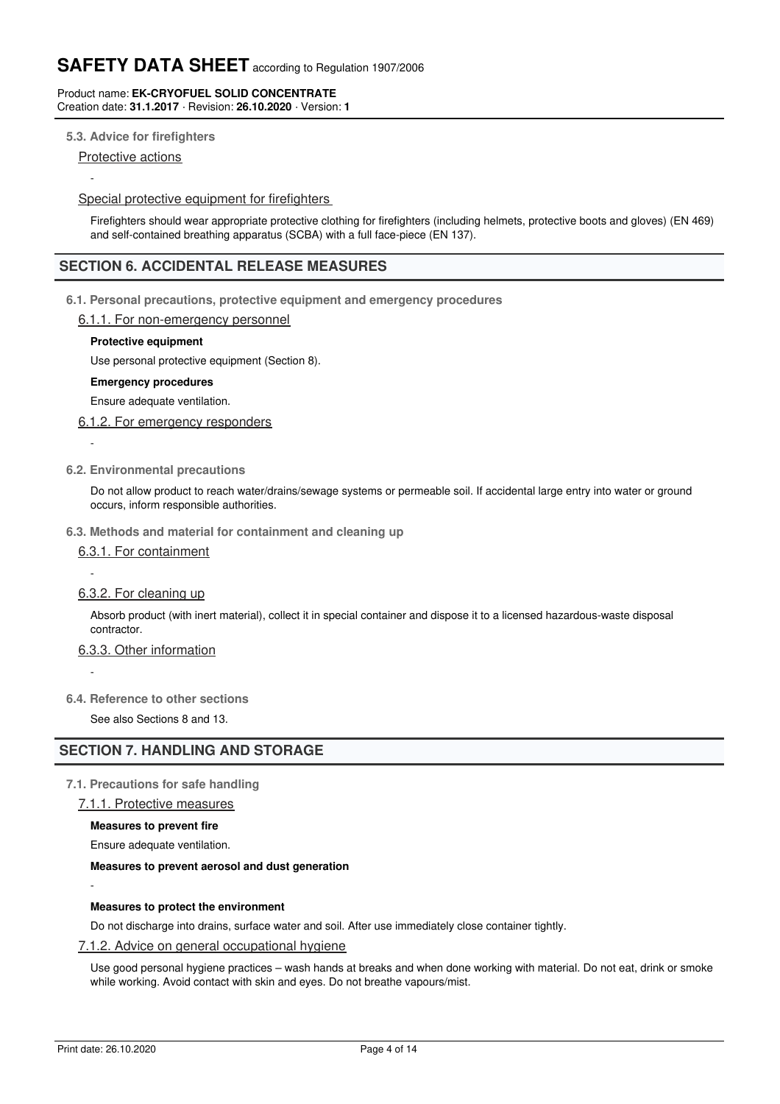#### Product name: **EK-CRYOFUEL SOLID CONCENTRATE** Creation date: **31.1.2017** · Revision: **26.10.2020** · Version: **1**

## **5.3. Advice for firefighters**

Protective actions

-

-

-

-

-

## Special protective equipment for firefighters

Firefighters should wear appropriate protective clothing for firefighters (including helmets, protective boots and gloves) (EN 469) and self-contained breathing apparatus (SCBA) with a full face-piece (EN 137).

# **SECTION 6. ACCIDENTAL RELEASE MEASURES**

### **6.1. Personal precautions, protective equipment and emergency procedures**

### 6.1.1. For non-emergency personnel

### **Protective equipment**

Use personal protective equipment (Section 8).

#### **Emergency procedures**

Ensure adequate ventilation.

### 6.1.2. For emergency responders

### **6.2. Environmental precautions**

Do not allow product to reach water/drains/sewage systems or permeable soil. If accidental large entry into water or ground occurs, inform responsible authorities.

#### **6.3. Methods and material for containment and cleaning up**

6.3.1. For containment

## 6.3.2. For cleaning up

Absorb product (with inert material), collect it in special container and dispose it to a licensed hazardous-waste disposal contractor.

## 6.3.3. Other information

**6.4. Reference to other sections**

See also Sections 8 and 13.

## **SECTION 7. HANDLING AND STORAGE**

## **7.1. Precautions for safe handling**

### 7.1.1. Protective measures

**Measures to prevent fire**

Ensure adequate ventilation.

### **Measures to prevent aerosol and dust generation**

#### **Measures to protect the environment**

Do not discharge into drains, surface water and soil. After use immediately close container tightly.

### 7.1.2. Advice on general occupational hygiene

Use good personal hygiene practices – wash hands at breaks and when done working with material. Do not eat, drink or smoke while working. Avoid contact with skin and eyes. Do not breathe vapours/mist.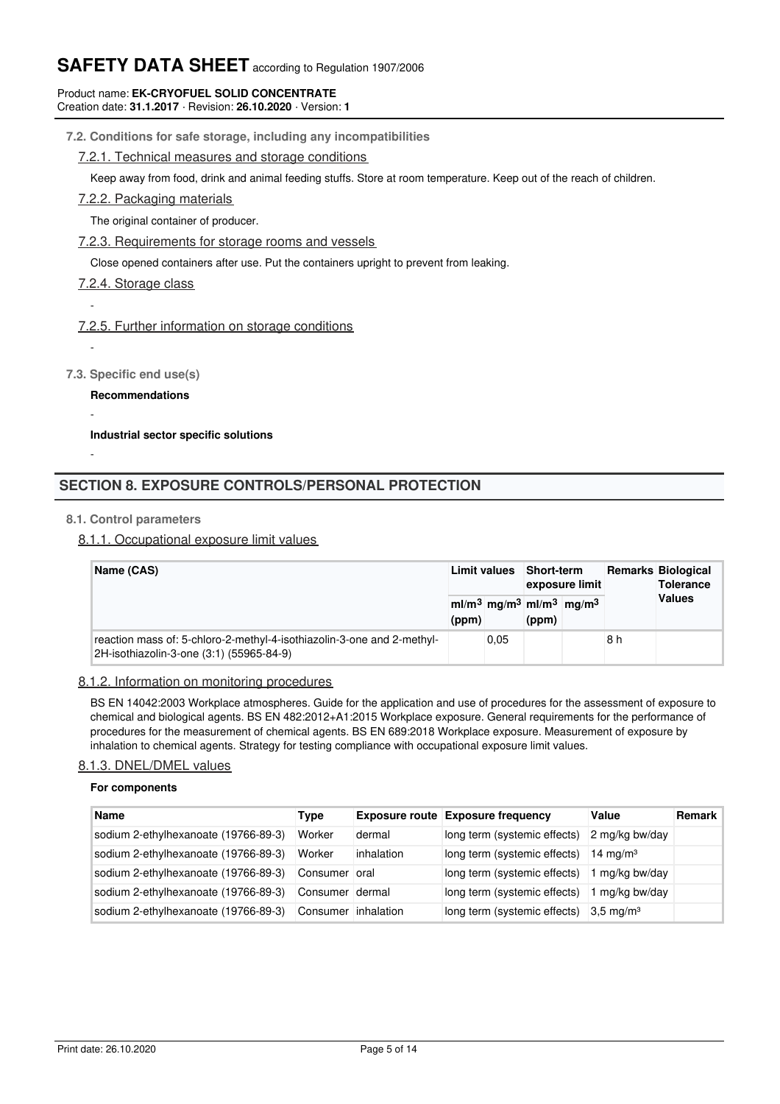#### Product name: **EK-CRYOFUEL SOLID CONCENTRATE** Creation date: **31.1.2017** · Revision: **26.10.2020** · Version: **1**

## **7.2. Conditions for safe storage, including any incompatibilities**

## 7.2.1. Technical measures and storage conditions

Keep away from food, drink and animal feeding stuffs. Store at room temperature. Keep out of the reach of children.

7.2.2. Packaging materials

The original container of producer.

7.2.3. Requirements for storage rooms and vessels

Close opened containers after use. Put the containers upright to prevent from leaking.

## 7.2.4. Storage class

-

-

-

-

## 7.2.5. Further information on storage conditions

**7.3. Specific end use(s)**

**Recommendations**

**Industrial sector specific solutions**

# **SECTION 8. EXPOSURE CONTROLS/PERSONAL PROTECTION**

## **8.1. Control parameters**

8.1.1. Occupational exposure limit values

| Name (CAS) |                                                                                                                    | <b>Limit values</b> |      | Short-term<br>exposure limit |                                                               |     | <b>Remarks Biological</b><br><b>Tolerance</b> |
|------------|--------------------------------------------------------------------------------------------------------------------|---------------------|------|------------------------------|---------------------------------------------------------------|-----|-----------------------------------------------|
|            | (ppm)                                                                                                              |                     |      | (ppm)                        | $ml/m3$ mg/m <sup>3</sup> ml/m <sup>3</sup> mg/m <sup>3</sup> |     | <b>Values</b>                                 |
|            | reaction mass of: 5-chloro-2-methyl-4-isothiazolin-3-one and 2-methyl-<br>2H-isothiazolin-3-one (3:1) (55965-84-9) |                     | 0.05 |                              |                                                               | 8 h |                                               |

## 8.1.2. Information on monitoring procedures

BS EN 14042:2003 Workplace atmospheres. Guide for the application and use of procedures for the assessment of exposure to chemical and biological agents. BS EN 482:2012+A1:2015 Workplace exposure. General requirements for the performance of procedures for the measurement of chemical agents. BS EN 689:2018 Workplace exposure. Measurement of exposure by inhalation to chemical agents. Strategy for testing compliance with occupational exposure limit values.

## 8.1.3. DNEL/DMEL values

#### **For components**

| <b>Name</b>                          | Type                |            | <b>Exposure route Exposure frequency</b> | Value                | Remark |
|--------------------------------------|---------------------|------------|------------------------------------------|----------------------|--------|
| sodium 2-ethylhexanoate (19766-89-3) | Worker              | dermal     | long term (systemic effects)             | 2 mg/kg bw/day       |        |
| sodium 2-ethylhexanoate (19766-89-3) | Worker              | inhalation | long term (systemic effects)             | 14 mg/m $3$          |        |
| sodium 2-ethylhexanoate (19766-89-3) | Consumer oral       |            | long term (systemic effects)             | mg/kg bw/day         |        |
| sodium 2-ethylhexanoate (19766-89-3) | Consumer dermal     |            | long term (systemic effects)             | mg/kg bw/day         |        |
| sodium 2-ethylhexanoate (19766-89-3) | Consumer inhalation |            | long term (systemic effects)             | $3.5 \text{ mg/m}^3$ |        |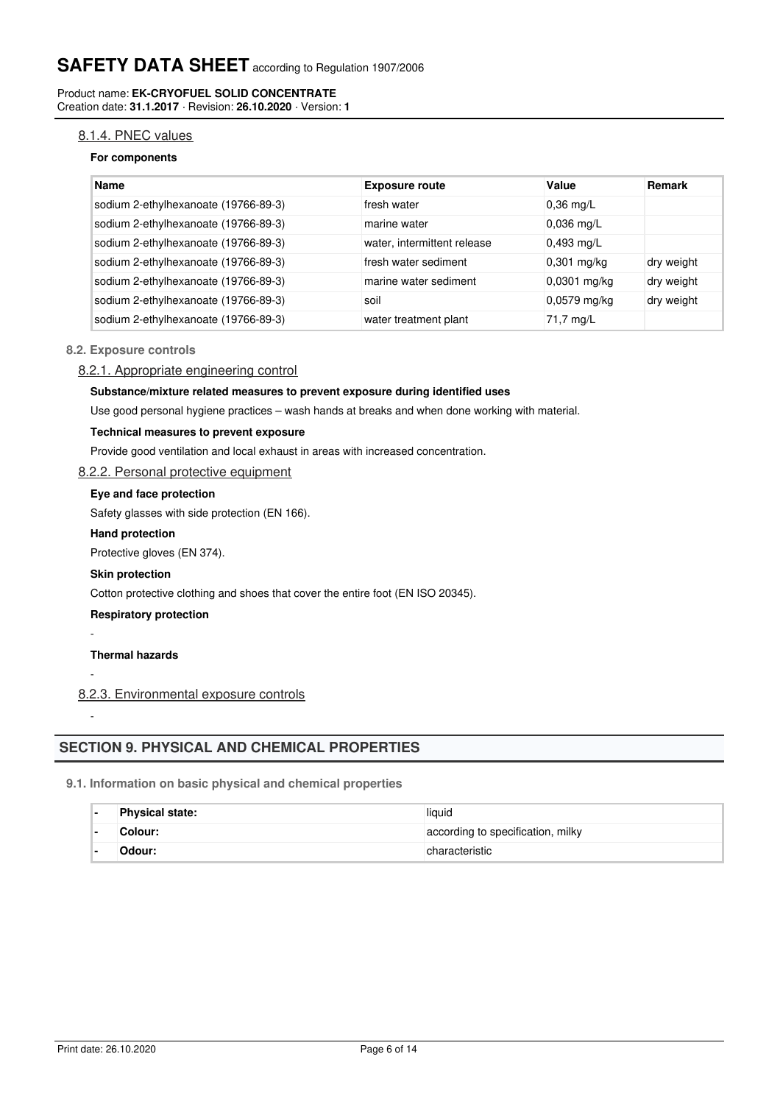Product name: **EK-CRYOFUEL SOLID CONCENTRATE** Creation date: **31.1.2017** · Revision: **26.10.2020** · Version: **1**

## 8.1.4. PNEC values

### **For components**

| Name                                 | <b>Exposure route</b>       | Value          | <b>Remark</b> |
|--------------------------------------|-----------------------------|----------------|---------------|
| sodium 2-ethylhexanoate (19766-89-3) | fresh water                 | $0,36$ mg/L    |               |
| sodium 2-ethylhexanoate (19766-89-3) | marine water                | $0.036$ mg/L   |               |
| sodium 2-ethylhexanoate (19766-89-3) | water, intermittent release | $0,493$ mg/L   |               |
| sodium 2-ethylhexanoate (19766-89-3) | fresh water sediment        | $0,301$ mg/kg  | dry weight    |
| sodium 2-ethylhexanoate (19766-89-3) | marine water sediment       | $0,0301$ mg/kg | dry weight    |
| sodium 2-ethylhexanoate (19766-89-3) | soil                        | $0,0579$ mg/kg | dry weight    |
| sodium 2-ethylhexanoate (19766-89-3) | water treatment plant       | 71,7 mg/L      |               |

### **8.2. Exposure controls**

## 8.2.1. Appropriate engineering control

#### **Substance/mixture related measures to prevent exposure during identified uses**

Use good personal hygiene practices – wash hands at breaks and when done working with material.

#### **Technical measures to prevent exposure**

Provide good ventilation and local exhaust in areas with increased concentration.

## 8.2.2. Personal protective equipment

## **Eye and face protection**

Safety glasses with side protection (EN 166).

#### **Hand protection**

Protective gloves (EN 374).

#### **Skin protection**

Cotton protective clothing and shoes that cover the entire foot (EN ISO 20345).

## **Respiratory protection**

#### **Thermal hazards**

-

-

-

## 8.2.3. Environmental exposure controls

## **SECTION 9. PHYSICAL AND CHEMICAL PROPERTIES**

### **9.1. Information on basic physical and chemical properties**

| <b>Physical state:</b> | liquid                            |
|------------------------|-----------------------------------|
| ⊺Colour:               | according to specification, milky |
| Odour:                 | characteristic                    |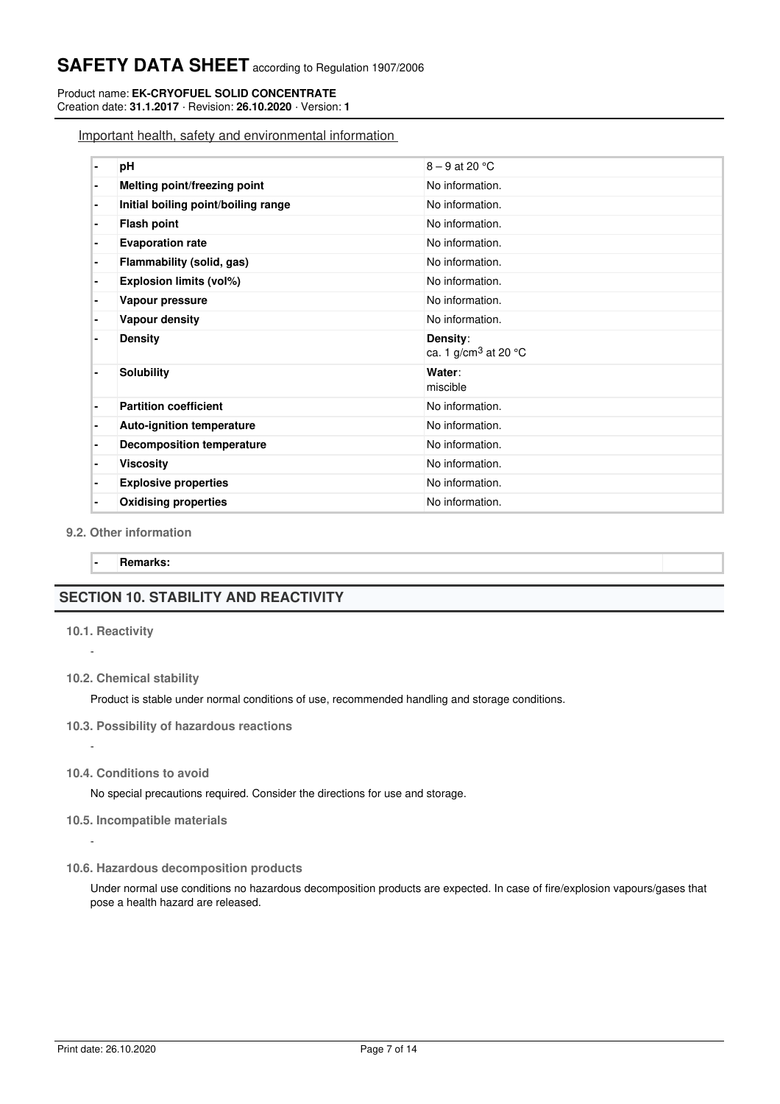Product name: **EK-CRYOFUEL SOLID CONCENTRATE** Creation date: **31.1.2017** · Revision: **26.10.2020** · Version: **1**

Important health, safety and environmental information

|   | pH                                  | $8 - 9$ at 20 °C                                       |
|---|-------------------------------------|--------------------------------------------------------|
| ۰ | Melting point/freezing point        | No information.                                        |
| ۰ | Initial boiling point/boiling range | No information.                                        |
| ٠ | <b>Flash point</b>                  | No information.                                        |
| ٠ | <b>Evaporation rate</b>             | No information.                                        |
| ۰ | Flammability (solid, gas)           | No information.                                        |
| ٠ | Explosion limits (vol%)             | No information.                                        |
| ٠ | Vapour pressure                     | No information.                                        |
|   | Vapour density                      | No information.                                        |
|   | <b>Density</b>                      | Density:<br>ca. 1 g/cm <sup>3</sup> at 20 $^{\circ}$ C |
|   | <b>Solubility</b>                   | Water:<br>miscible                                     |
| ٠ | <b>Partition coefficient</b>        | No information.                                        |
| ٠ | <b>Auto-ignition temperature</b>    | No information.                                        |
| ٠ | <b>Decomposition temperature</b>    | No information.                                        |
| ٠ | <b>Viscosity</b>                    | No information.                                        |
|   | <b>Explosive properties</b>         | No information.                                        |
|   | <b>Oxidising properties</b>         | No information.                                        |
|   |                                     |                                                        |

### **9.2. Other information**

**- Remarks:**

# **SECTION 10. STABILITY AND REACTIVITY**

#### **10.1. Reactivity**

-

-

-

**10.2. Chemical stability**

Product is stable under normal conditions of use, recommended handling and storage conditions.

- **10.3. Possibility of hazardous reactions**
- **10.4. Conditions to avoid**

No special precautions required. Consider the directions for use and storage.

- **10.5. Incompatible materials**
- **10.6. Hazardous decomposition products**

Under normal use conditions no hazardous decomposition products are expected. In case of fire/explosion vapours/gases that pose a health hazard are released.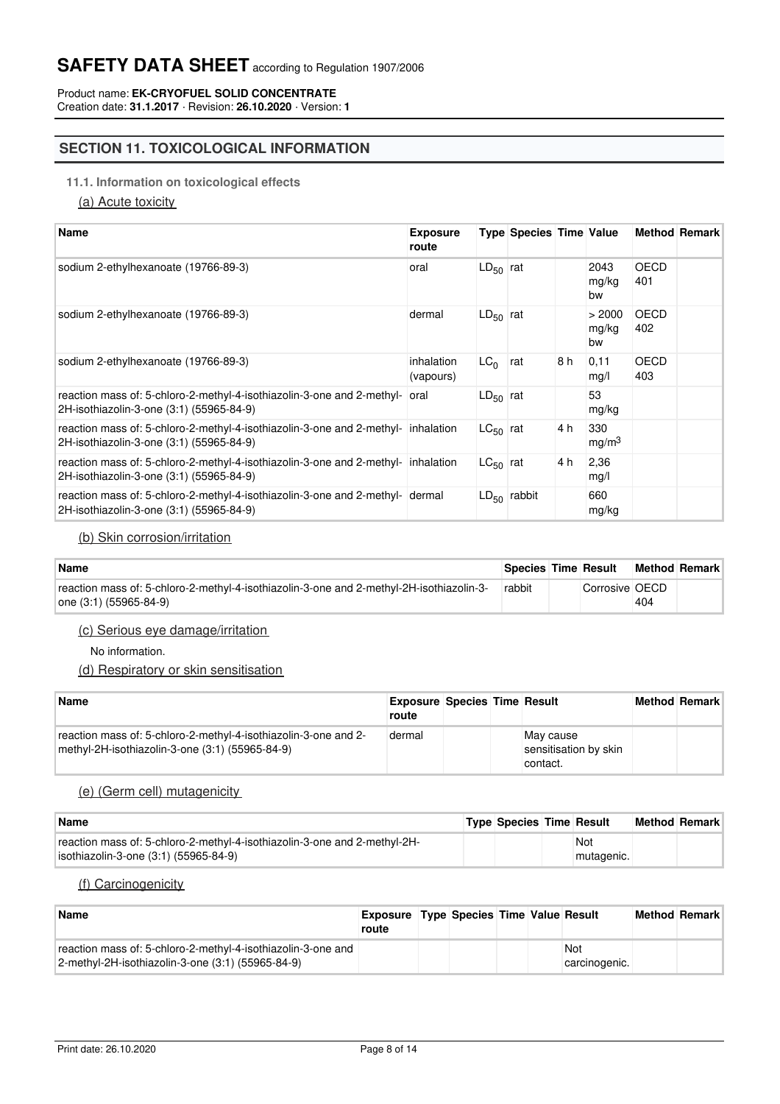Product name: **EK-CRYOFUEL SOLID CONCENTRATE** Creation date: **31.1.2017** · Revision: **26.10.2020** · Version: **1**

# **SECTION 11. TOXICOLOGICAL INFORMATION**

## **11.1. Information on toxicological effects**

(a) Acute toxicity

| <b>Name</b>                                                                                                                   | <b>Exposure</b><br>route |                 | <b>Type Species Time Value</b> |     |                          |                    | <b>Method Remark</b> |
|-------------------------------------------------------------------------------------------------------------------------------|--------------------------|-----------------|--------------------------------|-----|--------------------------|--------------------|----------------------|
| sodium 2-ethylhexanoate (19766-89-3)                                                                                          | oral                     | $LD_{50}$ rat   |                                |     | 2043<br>mg/kg<br>bw      | OECD<br>401        |                      |
| sodium 2-ethylhexanoate (19766-89-3)                                                                                          | dermal                   | $LD_{50}$ rat   |                                |     | > 2000<br>mg/kg<br>bw    | <b>OECD</b><br>402 |                      |
| sodium 2-ethylhexanoate (19766-89-3)                                                                                          | inhalation<br>(vapours)  | LC <sub>0</sub> | rat                            | 8 h | 0,11<br>mg/l             | OECD<br>403        |                      |
| reaction mass of: 5-chloro-2-methyl-4-isothiazolin-3-one and 2-methyl-<br>2H-isothiazolin-3-one (3:1) (55965-84-9)            | oral                     | $LD_{50}$ rat   |                                |     | 53<br>mg/kg              |                    |                      |
| reaction mass of: 5-chloro-2-methyl-4-isothiazolin-3-one and 2-methyl- inhalation<br>2H-isothiazolin-3-one (3:1) (55965-84-9) |                          | $LC_{50}$ rat   |                                | 4 h | 330<br>mg/m <sup>3</sup> |                    |                      |
| reaction mass of: 5-chloro-2-methyl-4-isothiazolin-3-one and 2-methyl- inhalation<br>2H-isothiazolin-3-one (3:1) (55965-84-9) |                          | $LG_{50}$ rat   |                                | 4 h | 2,36<br>mg/l             |                    |                      |
| reaction mass of: 5-chloro-2-methyl-4-isothiazolin-3-one and 2-methyl- dermal<br>2H-isothiazolin-3-one (3:1) (55965-84-9)     |                          |                 | $LD_{50}$ rabbit               |     | 660<br>mg/kg             |                    |                      |

## (b) Skin corrosion/irritation

| <b>Name</b>                                                                                                        | Species Time Result |                |     | <b>Method Remark</b> |
|--------------------------------------------------------------------------------------------------------------------|---------------------|----------------|-----|----------------------|
| reaction mass of: 5-chloro-2-methyl-4-isothiazolin-3-one and 2-methyl-2H-isothiazolin-3-<br>one (3:1) (55965-84-9) | rabbit              | Corrosive OECD | 404 |                      |

## (c) Serious eye damage/irritation

No information.

(d) Respiratory or skin sensitisation

| Name                                                                                                               | <b>Exposure Species Time Result</b><br>route |  |                                                | <b>Method Remark</b> |
|--------------------------------------------------------------------------------------------------------------------|----------------------------------------------|--|------------------------------------------------|----------------------|
| reaction mass of: 5-chloro-2-methyl-4-isothiazolin-3-one and 2-<br>methyl-2H-isothiazolin-3-one (3:1) (55965-84-9) | dermal                                       |  | May cause<br>sensitisation by skin<br>contact. |                      |

### (e) (Germ cell) mutagenicity

| <b>Name</b>                                                               | <b>Type Species Time Result</b> |            | Method Remark |
|---------------------------------------------------------------------------|---------------------------------|------------|---------------|
| reaction mass of: 5-chloro-2-methyl-4-isothiazolin-3-one and 2-methyl-2H- |                                 | <b>Not</b> |               |
| sothiazolin-3-one (3:1) (55965-84-9)                                      |                                 | mutagenic. |               |

## (f) Carcinogenicity

| Name                                                                                                                 | <b>Exposure Type Species Time Value Result</b><br>route |  |  |                      | <b>Method Remark</b> |
|----------------------------------------------------------------------------------------------------------------------|---------------------------------------------------------|--|--|----------------------|----------------------|
| reaction mass of: 5-chloro-2-methyl-4-isothiazolin-3-one and<br>$2$ -methyl-2H-isothiazolin-3-one (3:1) (55965-84-9) |                                                         |  |  | Not<br>carcinogenic. |                      |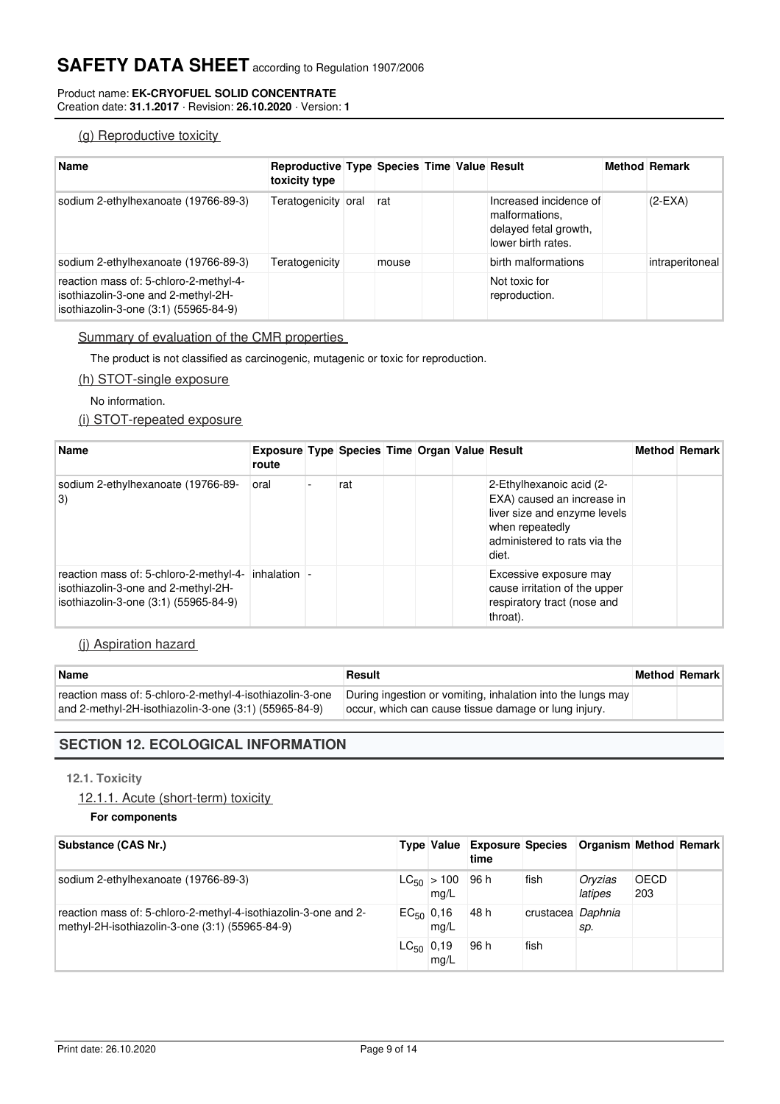#### Product name: **EK-CRYOFUEL SOLID CONCENTRATE** Creation date: **31.1.2017** · Revision: **26.10.2020** · Version: **1**

# (g) Reproductive toxicity

| <b>Name</b>                                                                                                            | Reproductive Type Species Time Value Result<br>toxicity type |       |  |                                                                                         | <b>Method Remark</b> |
|------------------------------------------------------------------------------------------------------------------------|--------------------------------------------------------------|-------|--|-----------------------------------------------------------------------------------------|----------------------|
| sodium 2-ethylhexanoate (19766-89-3)                                                                                   | Teratogenicity oral                                          | rat   |  | Increased incidence of<br>malformations.<br>delayed fetal growth,<br>lower birth rates. | $(2-EXA)$            |
| sodium 2-ethylhexanoate (19766-89-3)                                                                                   | Teratogenicity                                               | mouse |  | birth malformations                                                                     | intraperitoneal      |
| reaction mass of: 5-chloro-2-methyl-4-<br>isothiazolin-3-one and 2-methyl-2H-<br>isothiazolin-3-one (3:1) (55965-84-9) |                                                              |       |  | Not toxic for<br>reproduction.                                                          |                      |

## Summary of evaluation of the CMR properties

The product is not classified as carcinogenic, mutagenic or toxic for reproduction.

### (h) STOT-single exposure

No information.

# (i) STOT-repeated exposure

| <b>Name</b>                                                                                                                         | <b>Exposure Type Species Time Organ Value Result</b><br>route |     |  |                                                                                                                                                    | <b>Method Remark</b> |
|-------------------------------------------------------------------------------------------------------------------------------------|---------------------------------------------------------------|-----|--|----------------------------------------------------------------------------------------------------------------------------------------------------|----------------------|
| sodium 2-ethylhexanoate (19766-89-<br> 3)                                                                                           | oral                                                          | rat |  | 2-Ethylhexanoic acid (2-<br>EXA) caused an increase in<br>liver size and enzyme levels<br>when repeatedly<br>administered to rats via the<br>diet. |                      |
| reaction mass of: 5-chloro-2-methyl-4- inhalation -<br>isothiazolin-3-one and 2-methyl-2H-<br>isothiazolin-3-one (3:1) (55965-84-9) |                                                               |     |  | Excessive exposure may<br>cause irritation of the upper<br>respiratory tract (nose and<br>throat).                                                 |                      |

## (j) Aspiration hazard

| <b>Name</b>                                                                                                       | Result                                                                                                              | <b>Method Remark</b> |
|-------------------------------------------------------------------------------------------------------------------|---------------------------------------------------------------------------------------------------------------------|----------------------|
| reaction mass of: 5-chloro-2-methyl-4-isothiazolin-3-one<br>and 2-methyl-2H-isothiazolin-3-one (3:1) (55965-84-9) | During ingestion or vomiting, inhalation into the lungs may<br>occur, which can cause tissue damage or lung injury. |                      |

# **SECTION 12. ECOLOGICAL INFORMATION**

## **12.1. Toxicity**

12.1.1. Acute (short-term) toxicity

**For components**

| Substance (CAS Nr.)                                                                                                |                |                                | Type Value Exposure Species Organism Method Remark<br>time |                   |                    |                    |  |
|--------------------------------------------------------------------------------------------------------------------|----------------|--------------------------------|------------------------------------------------------------|-------------------|--------------------|--------------------|--|
| sodium 2-ethylhexanoate (19766-89-3)                                                                               |                | $ CC_{50}  > 100$ 96 h<br>mq/L |                                                            | fish              | Oryzias<br>latipes | <b>OECD</b><br>203 |  |
| reaction mass of: 5-chloro-2-methyl-4-isothiazolin-3-one and 2-<br>methyl-2H-isothiazolin-3-one (3:1) (55965-84-9) | $EC_{50}$ 0,16 | mq/L                           | 48 h                                                       | crustacea Daphnia | sp.                |                    |  |
|                                                                                                                    | $LC_{50}$ 0,19 | mg/L                           | 96 h                                                       | fish              |                    |                    |  |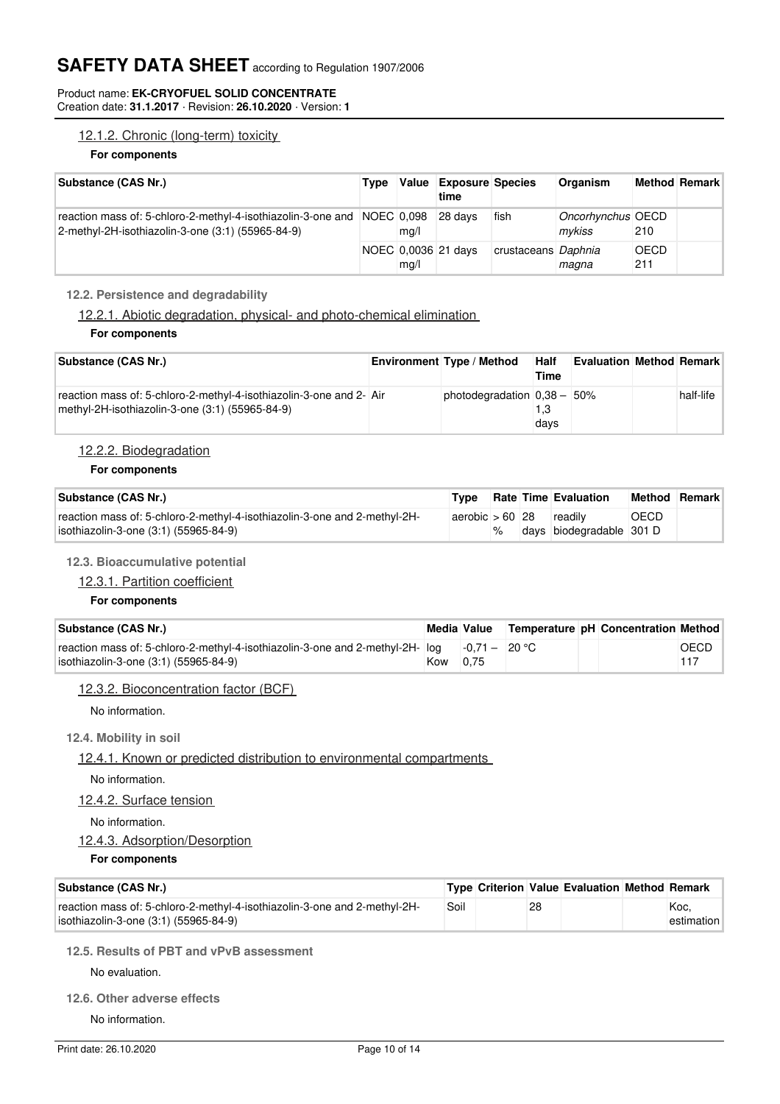#### Product name: **EK-CRYOFUEL SOLID CONCENTRATE** Creation date: **31.1.2017** · Revision: **26.10.2020** · Version: **1**

## 12.1.2. Chronic (long-term) toxicity

#### **For components**

| Substance (CAS Nr.)                                                                                                          | Type | Value | <b>Exposure Species</b><br>time |                     | Organism                    |             | Method Remark |
|------------------------------------------------------------------------------------------------------------------------------|------|-------|---------------------------------|---------------------|-----------------------------|-------------|---------------|
| reaction mass of: 5-chloro-2-methyl-4-isothiazolin-3-one and NOEC 0,098<br>2-methyl-2H-isothiazolin-3-one (3:1) (55965-84-9) |      | mq/l  | 28 days                         | fish                | Oncorhynchus OECD<br>mvkiss | 210         |               |
|                                                                                                                              |      | mq/l  | NOEC 0.0036 21 days             | crustaceans Daphnia | magna                       | OECD<br>211 |               |

## **12.2. Persistence and degradability**

12.2.1. Abiotic degradation, physical- and photo-chemical elimination

### **For components**

| Substance (CAS Nr.)                                                                                                    | <b>Environment Type / Method</b> | <b>Half</b><br>Time | <b>Evaluation Method Remark</b> |           |
|------------------------------------------------------------------------------------------------------------------------|----------------------------------|---------------------|---------------------------------|-----------|
| reaction mass of: 5-chloro-2-methyl-4-isothiazolin-3-one and 2- Air<br>methyl-2H-isothiazolin-3-one (3:1) (55965-84-9) | photodegradation $0.38 - 50\%$   | 1.3<br>days         |                                 | half-life |

## 12.2.2. Biodegradation

#### **For components**

| Substance (CAS Nr.)                                                                                                | Type                      |      | <b>Rate Time Evaluation</b> | <b>Method Remark</b> |  |
|--------------------------------------------------------------------------------------------------------------------|---------------------------|------|-----------------------------|----------------------|--|
| reaction mass of: 5-chloro-2-methyl-4-isothiazolin-3-one and 2-methyl-2H-<br>isothiazolin-3-one (3:1) (55965-84-9) | aerobic $> 60$ 28 readily | $\%$ | days biodegradable 301 D    | OECD                 |  |

## **12.3. Bioaccumulative potential**

## 12.3.1. Partition coefficient

## **For components**

| Substance (CAS Nr.)                                                                                                                    |          |  | Media Value Temperature pH Concentration Method |      |
|----------------------------------------------------------------------------------------------------------------------------------------|----------|--|-------------------------------------------------|------|
| reaction mass of: 5-chloro-2-methyl-4-isothiazolin-3-one and 2-methyl-2H- $log$ -0.71 - 20 °C<br>isothiazolin-3-one (3:1) (55965-84-9) | Kow 0.75 |  |                                                 | OECD |

## 12.3.2. Bioconcentration factor (BCF)

No information.

## **12.4. Mobility in soil**

12.4.1. Known or predicted distribution to environmental compartments

No information.

12.4.2. Surface tension

## No information.

## 12.4.3. Adsorption/Desorption

**For components**

| Substance (CAS Nr.)                                                                                                |      |    | Type Criterion Value Evaluation Method Remark |                       |
|--------------------------------------------------------------------------------------------------------------------|------|----|-----------------------------------------------|-----------------------|
| reaction mass of: 5-chloro-2-methyl-4-isothiazolin-3-one and 2-methyl-2H-<br>isothiazolin-3-one (3:1) (55965-84-9) | Soil | 28 |                                               | 'Koc.<br>estimation l |

## **12.5. Results of PBT and vPvB assessment**

No evaluation.

**12.6. Other adverse effects**

No information.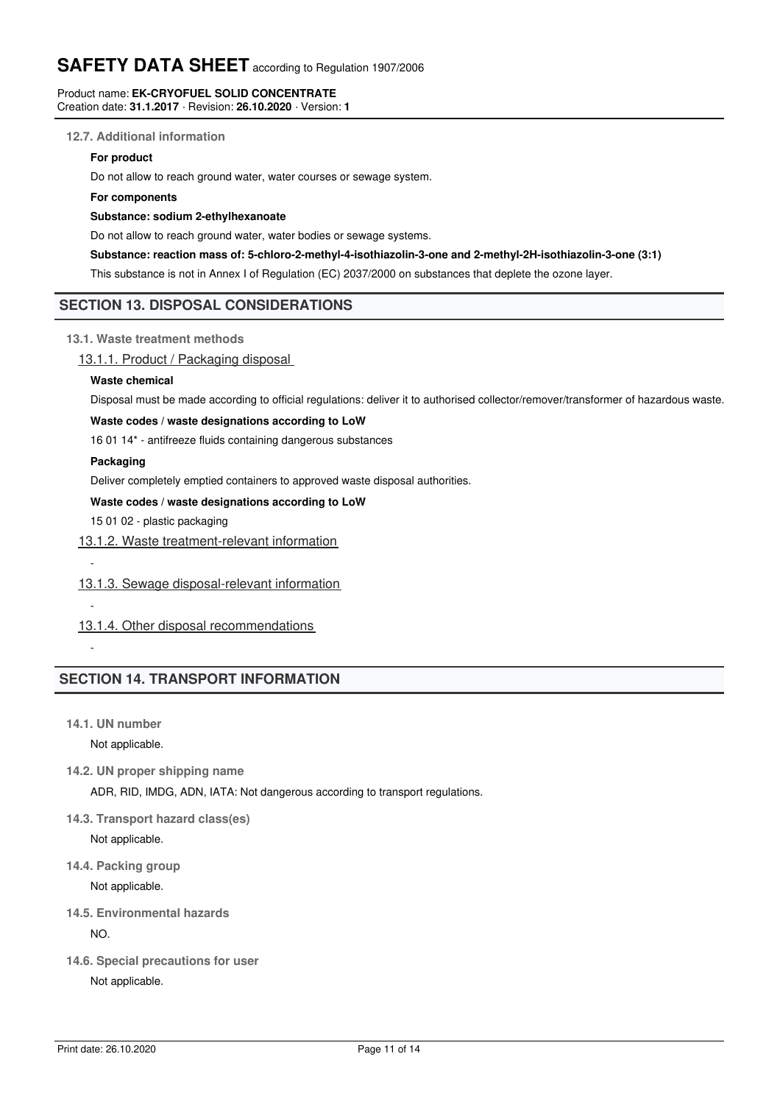#### Product name: **EK-CRYOFUEL SOLID CONCENTRATE** Creation date: **31.1.2017** · Revision: **26.10.2020** · Version: **1**

#### **12.7. Additional information**

#### **For product**

Do not allow to reach ground water, water courses or sewage system.

#### **For components**

#### **Substance: sodium 2-ethylhexanoate**

Do not allow to reach ground water, water bodies or sewage systems.

#### **Substance: reaction mass of: 5-chloro-2-methyl-4-isothiazolin-3-one and 2-methyl-2H-isothiazolin-3-one (3:1)**

This substance is not in Annex I of Regulation (EC) 2037/2000 on substances that deplete the ozone layer.

## **SECTION 13. DISPOSAL CONSIDERATIONS**

**13.1. Waste treatment methods**

### 13.1.1. Product / Packaging disposal

#### **Waste chemical**

Disposal must be made according to official regulations: deliver it to authorised collector/remover/transformer of hazardous waste.

#### **Waste codes / waste designations according to LoW**

16 01 14\* - antifreeze fluids containing dangerous substances

#### **Packaging**

Deliver completely emptied containers to approved waste disposal authorities.

#### **Waste codes / waste designations according to LoW**

15 01 02 - plastic packaging

#### 13.1.2. Waste treatment-relevant information

## 13.1.3. Sewage disposal-relevant information

13.1.4. Other disposal recommendations

-

-

-

# **SECTION 14. TRANSPORT INFORMATION**

**14.1. UN number**

Not applicable.

**14.2. UN proper shipping name**

ADR, RID, IMDG, ADN, IATA: Not dangerous according to transport regulations.

**14.3. Transport hazard class(es)**

Not applicable.

**14.4. Packing group**

Not applicable.

**14.5. Environmental hazards**

NO.

**14.6. Special precautions for user**

Not applicable.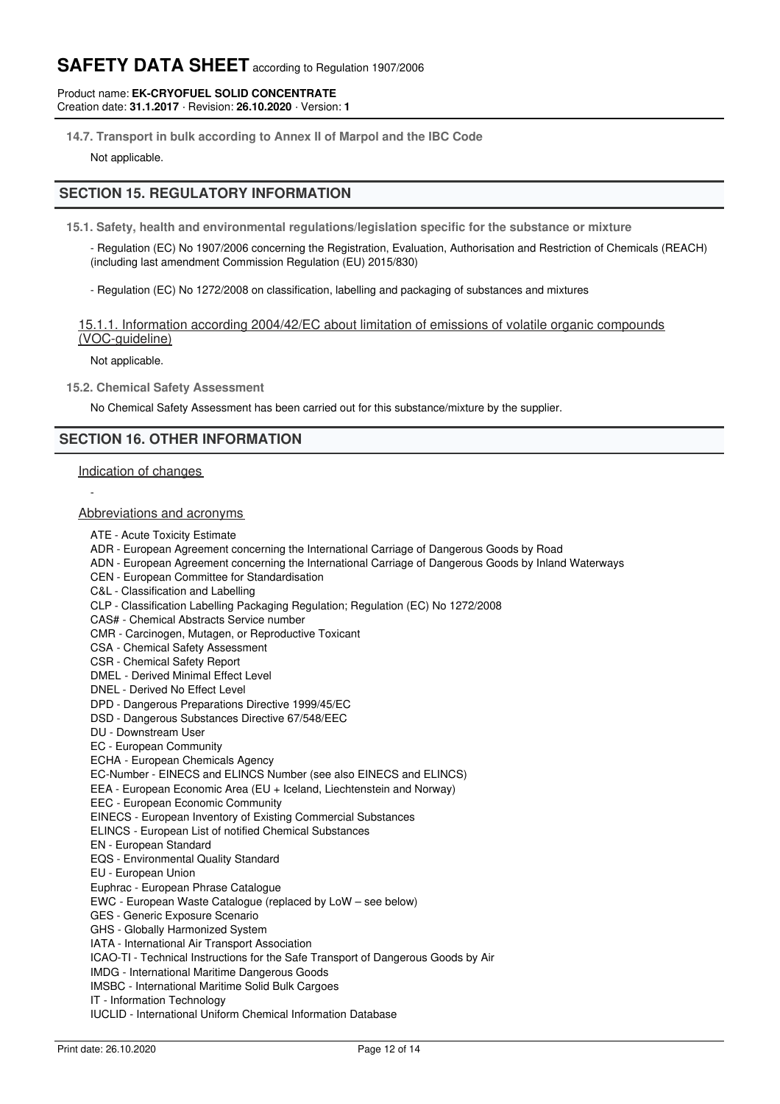#### Product name: **EK-CRYOFUEL SOLID CONCENTRATE** Creation date: **31.1.2017** · Revision: **26.10.2020** · Version: **1**

**14.7. Transport in bulk according to Annex II of Marpol and the IBC Code**

Not applicable.

# **SECTION 15. REGULATORY INFORMATION**

- **15.1. Safety, health and environmental regulations/legislation specific for the substance or mixture**
	- Regulation (EC) No 1907/2006 concerning the Registration, Evaluation, Authorisation and Restriction of Chemicals (REACH) (including last amendment Commission Regulation (EU) 2015/830)
	- Regulation (EC) No 1272/2008 on classification, labelling and packaging of substances and mixtures

## 15.1.1. Information according 2004/42/EC about limitation of emissions of volatile organic compounds (VOC-guideline)

Not applicable.

**15.2. Chemical Safety Assessment**

No Chemical Safety Assessment has been carried out for this substance/mixture by the supplier.

## **SECTION 16. OTHER INFORMATION**

#### Indication of changes

-

#### Abbreviations and acronyms

- ATE Acute Toxicity Estimate
- ADR European Agreement concerning the International Carriage of Dangerous Goods by Road
- ADN European Agreement concerning the International Carriage of Dangerous Goods by Inland Waterways
- CEN European Committee for Standardisation
- C&L Classification and Labelling
- CLP Classification Labelling Packaging Regulation; Regulation (EC) No 1272/2008
- CAS# Chemical Abstracts Service number
- CMR Carcinogen, Mutagen, or Reproductive Toxicant
- CSA Chemical Safety Assessment
- CSR Chemical Safety Report
- DMEL Derived Minimal Effect Level
- DNEL Derived No Effect Level
- DPD Dangerous Preparations Directive 1999/45/EC
- DSD Dangerous Substances Directive 67/548/EEC
- DU Downstream User
- EC European Community
- ECHA European Chemicals Agency
- EC-Number EINECS and ELINCS Number (see also EINECS and ELINCS)
- EEA European Economic Area (EU + Iceland, Liechtenstein and Norway)
- EEC European Economic Community
- EINECS European Inventory of Existing Commercial Substances
- ELINCS European List of notified Chemical Substances
- EN European Standard
- EQS Environmental Quality Standard
- EU European Union
- Euphrac European Phrase Catalogue
- EWC European Waste Catalogue (replaced by LoW see below)
- GES Generic Exposure Scenario
- GHS Globally Harmonized System
- IATA International Air Transport Association
- ICAO-TI Technical Instructions for the Safe Transport of Dangerous Goods by Air
- IMDG International Maritime Dangerous Goods
- IMSBC International Maritime Solid Bulk Cargoes
- IT Information Technology
- IUCLID International Uniform Chemical Information Database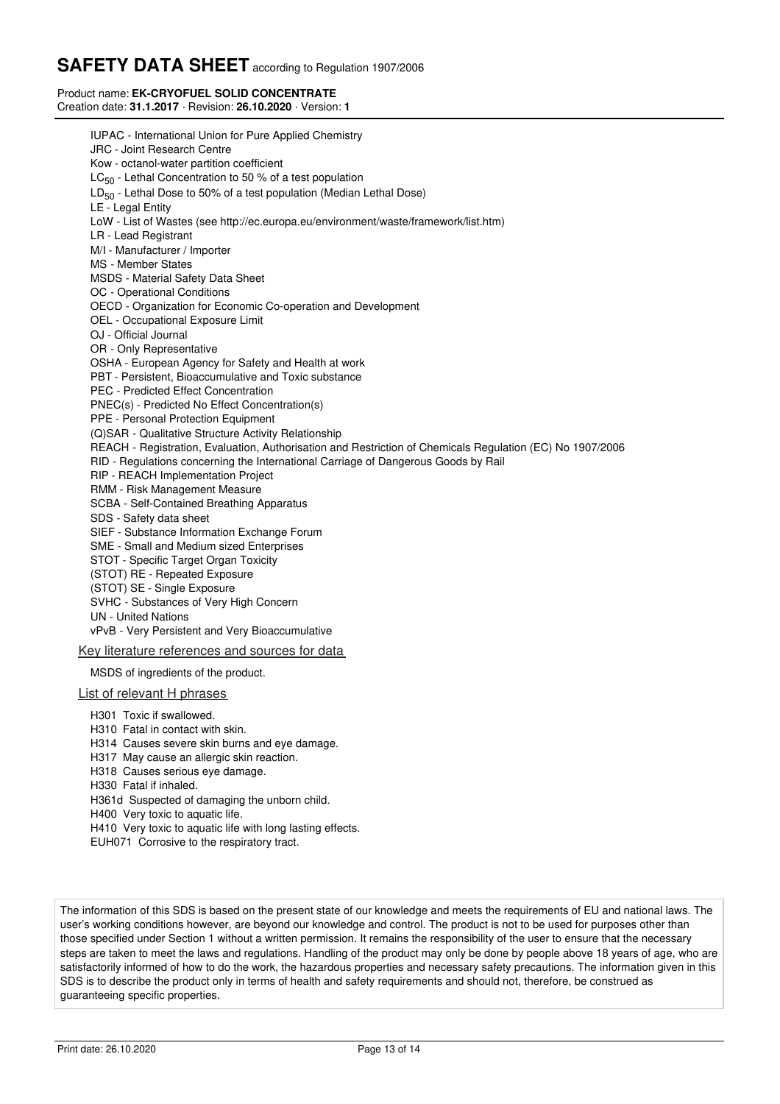#### Product name: **EK-CRYOFUEL SOLID CONCENTRATE** Creation date: **31.1.2017** · Revision: **26.10.2020** · Version: **1**

IUPAC - International Union for Pure Applied Chemistry JRC - Joint Research Centre Kow - octanol-water partition coefficient LC<sub>50</sub> - Lethal Concentration to 50 % of a test population LD $_{50}$  - Lethal Dose to 50% of a test population (Median Lethal Dose) LE - Legal Entity LoW - List of Wastes (see http://ec.europa.eu/environment/waste/framework/list.htm) LR - Lead Registrant M/I - Manufacturer / Importer MS - Member States MSDS - Material Safety Data Sheet OC - Operational Conditions OECD - Organization for Economic Co-operation and Development OEL - Occupational Exposure Limit OJ - Official Journal OR - Only Representative OSHA - European Agency for Safety and Health at work PBT - Persistent, Bioaccumulative and Toxic substance PEC - Predicted Effect Concentration PNEC(s) - Predicted No Effect Concentration(s) PPE - Personal Protection Equipment (Q)SAR - Qualitative Structure Activity Relationship REACH - Registration, Evaluation, Authorisation and Restriction of Chemicals Regulation (EC) No 1907/2006 RID - Regulations concerning the International Carriage of Dangerous Goods by Rail RIP - REACH Implementation Project RMM - Risk Management Measure SCBA - Self-Contained Breathing Apparatus SDS - Safety data sheet SIEF - Substance Information Exchange Forum SME - Small and Medium sized Enterprises STOT - Specific Target Organ Toxicity (STOT) RE - Repeated Exposure (STOT) SE - Single Exposure SVHC - Substances of Very High Concern UN - United Nations vPvB - Very Persistent and Very Bioaccumulative Key literature references and sources for data MSDS of ingredients of the product. List of relevant H phrases H301 Toxic if swallowed. H310 Fatal in contact with skin.

- H314 Causes severe skin burns and eye damage.
- H317 May cause an allergic skin reaction.
- H318 Causes serious eye damage.
- H330 Fatal if inhaled.
- H361d Suspected of damaging the unborn child.
- H400 Very toxic to aquatic life.
- H410 Very toxic to aquatic life with long lasting effects.
- EUH071 Corrosive to the respiratory tract.

The information of this SDS is based on the present state of our knowledge and meets the requirements of EU and national laws. The user's working conditions however, are beyond our knowledge and control. The product is not to be used for purposes other than those specified under Section 1 without a written permission. It remains the responsibility of the user to ensure that the necessary steps are taken to meet the laws and regulations. Handling of the product may only be done by people above 18 years of age, who are satisfactorily informed of how to do the work, the hazardous properties and necessary safety precautions. The information given in this SDS is to describe the product only in terms of health and safety requirements and should not, therefore, be construed as guaranteeing specific properties.